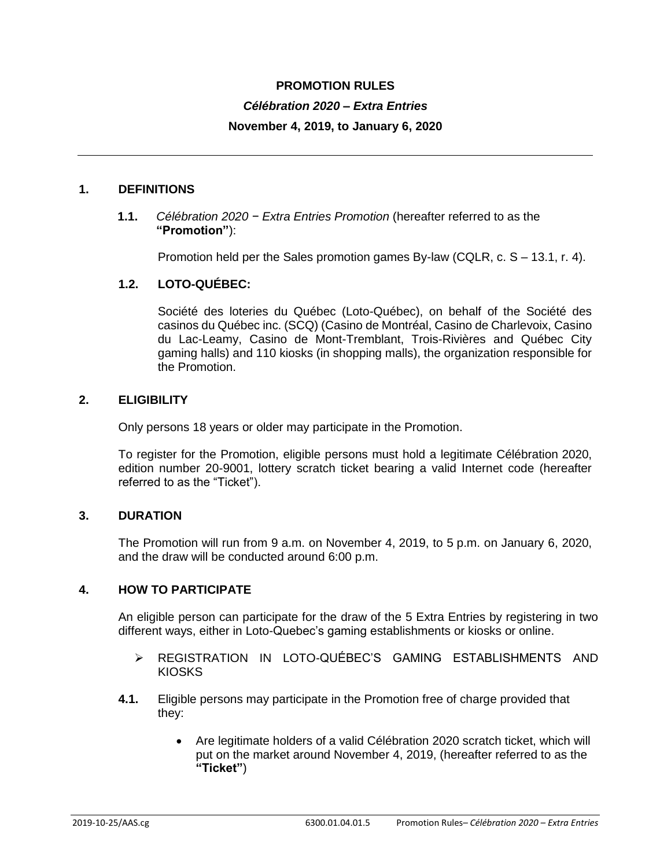### **PROMOTION RULES**

#### *Célébration 2020 – Extra Entries*

### **November 4, 2019, to January 6, 2020**

#### **1. DEFINITIONS**

#### **1.1.** *Célébration 2020 − Extra Entries Promotion* (hereafter referred to as the **"Promotion"**):

Promotion held per the Sales promotion games By-law (CQLR, c. S – 13.1, r. 4).

#### **1.2. LOTO-QUÉBEC:**

Société des loteries du Québec (Loto-Québec), on behalf of the Société des casinos du Québec inc. (SCQ) (Casino de Montréal, Casino de Charlevoix, Casino du Lac-Leamy, Casino de Mont-Tremblant, Trois-Rivières and Québec City gaming halls) and 110 kiosks (in shopping malls), the organization responsible for the Promotion.

#### **2. ELIGIBILITY**

Only persons 18 years or older may participate in the Promotion.

To register for the Promotion, eligible persons must hold a legitimate Célébration 2020, edition number 20-9001, lottery scratch ticket bearing a valid Internet code (hereafter referred to as the "Ticket").

#### **3. DURATION**

The Promotion will run from 9 a.m. on November 4, 2019, to 5 p.m. on January 6, 2020, and the draw will be conducted around 6:00 p.m.

#### **4. HOW TO PARTICIPATE**

An eligible person can participate for the draw of the 5 Extra Entries by registering in two different ways, either in Loto-Quebec's gaming establishments or kiosks or online.

- REGISTRATION IN LOTO-QUÉBEC'S GAMING ESTABLISHMENTS AND KIOSKS
- **4.1.** Eligible persons may participate in the Promotion free of charge provided that they:
	- Are legitimate holders of a valid Célébration 2020 scratch ticket, which will put on the market around November 4, 2019, (hereafter referred to as the **"Ticket"**)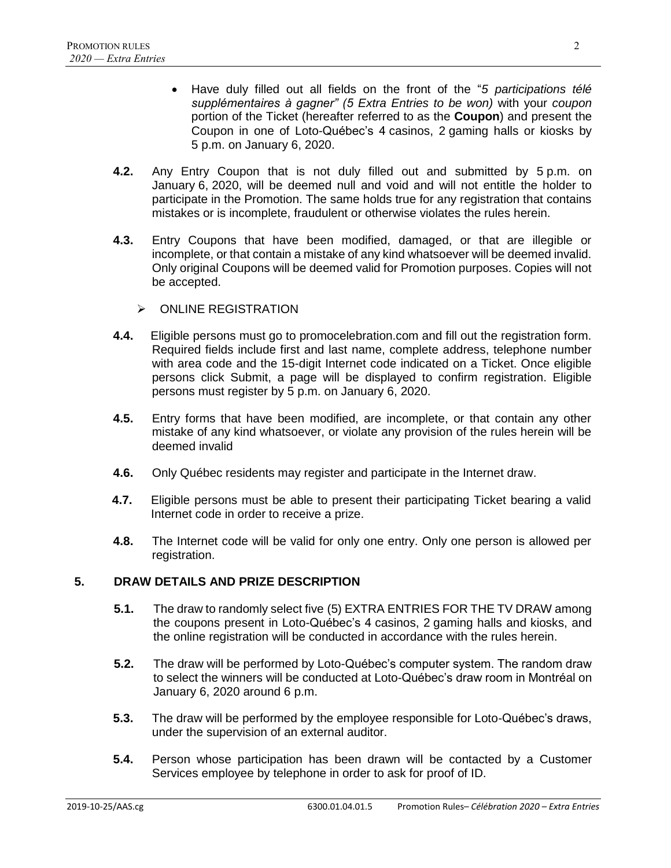- Have duly filled out all fields on the front of the "*5 participations télé supplémentaires à gagner" (5 Extra Entries to be won)* with your *coupon* portion of the Ticket (hereafter referred to as the **Coupon**) and present the Coupon in one of Loto-Québec's 4 casinos, 2 gaming halls or kiosks by 5 p.m. on January 6, 2020.
- **4.2.** Any Entry Coupon that is not duly filled out and submitted by 5 p.m. on January 6, 2020, will be deemed null and void and will not entitle the holder to participate in the Promotion. The same holds true for any registration that contains mistakes or is incomplete, fraudulent or otherwise violates the rules herein.
- **4.3.** Entry Coupons that have been modified, damaged, or that are illegible or incomplete, or that contain a mistake of any kind whatsoever will be deemed invalid. Only original Coupons will be deemed valid for Promotion purposes. Copies will not be accepted.
	- $\triangleright$  ONLINE REGISTRATION
- **4.4.** Eligible persons must go to promocelebration.com and fill out the registration form. Required fields include first and last name, complete address, telephone number with area code and the 15-digit Internet code indicated on a Ticket. Once eligible persons click Submit, a page will be displayed to confirm registration. Eligible persons must register by 5 p.m. on January 6, 2020.
- **4.5.** Entry forms that have been modified, are incomplete, or that contain any other mistake of any kind whatsoever, or violate any provision of the rules herein will be deemed invalid
- **4.6.** Only Québec residents may register and participate in the Internet draw.
- **4.7.** Eligible persons must be able to present their participating Ticket bearing a valid Internet code in order to receive a prize.
- **4.8.** The Internet code will be valid for only one entry. Only one person is allowed per registration.

### **5. DRAW DETAILS AND PRIZE DESCRIPTION**

- **5.1.** The draw to randomly select five (5) EXTRA ENTRIES FOR THE TV DRAW among the coupons present in Loto-Québec's 4 casinos, 2 gaming halls and kiosks, and the online registration will be conducted in accordance with the rules herein.
- **5.2.** The draw will be performed by Loto-Québec's computer system. The random draw to select the winners will be conducted at Loto-Québec's draw room in Montréal on January 6, 2020 around 6 p.m.
- **5.3.** The draw will be performed by the employee responsible for Loto-Québec's draws, under the supervision of an external auditor.
- **5.4.** Person whose participation has been drawn will be contacted by a Customer Services employee by telephone in order to ask for proof of ID.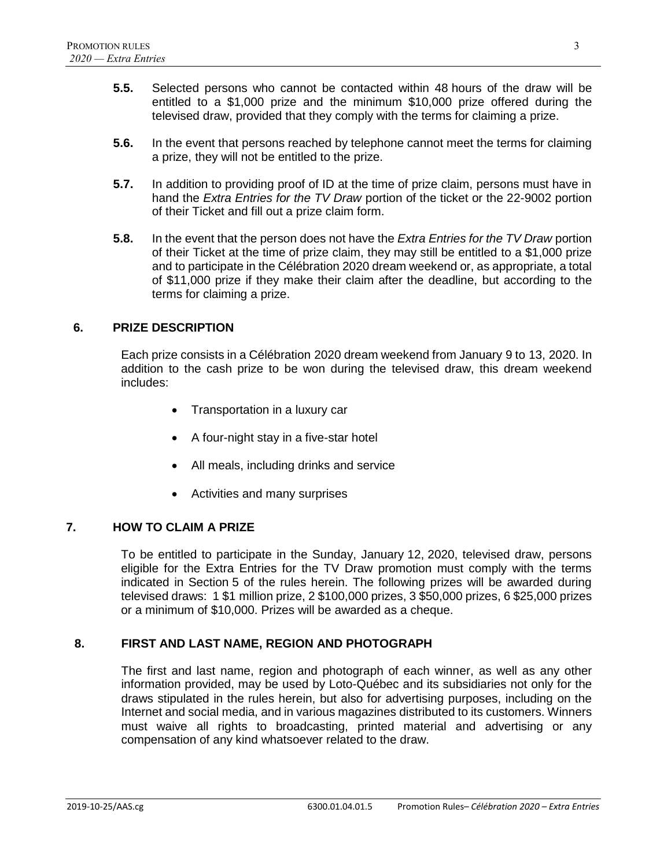- **5.5.** Selected persons who cannot be contacted within 48 hours of the draw will be entitled to a \$1,000 prize and the minimum \$10,000 prize offered during the televised draw, provided that they comply with the terms for claiming a prize.
- **5.6.** In the event that persons reached by telephone cannot meet the terms for claiming a prize, they will not be entitled to the prize.
- **5.7.** In addition to providing proof of ID at the time of prize claim, persons must have in hand the *Extra Entries for the TV Draw* portion of the ticket or the 22-9002 portion of their Ticket and fill out a prize claim form.
- **5.8.** In the event that the person does not have the *Extra Entries for the TV Draw* portion of their Ticket at the time of prize claim, they may still be entitled to a \$1,000 prize and to participate in the Célébration 2020 dream weekend or, as appropriate, a total of \$11,000 prize if they make their claim after the deadline, but according to the terms for claiming a prize.

# **6. PRIZE DESCRIPTION**

Each prize consists in a Célébration 2020 dream weekend from January 9 to 13, 2020. In addition to the cash prize to be won during the televised draw, this dream weekend includes:

- Transportation in a luxury car
- A four-night stay in a five-star hotel
- All meals, including drinks and service
- Activities and many surprises

### **7. HOW TO CLAIM A PRIZE**

To be entitled to participate in the Sunday, January 12, 2020, televised draw, persons eligible for the Extra Entries for the TV Draw promotion must comply with the terms indicated in Section 5 of the rules herein. The following prizes will be awarded during televised draws: 1 \$1 million prize, 2 \$100,000 prizes, 3 \$50,000 prizes, 6 \$25,000 prizes or a minimum of \$10,000. Prizes will be awarded as a cheque.

### **8. FIRST AND LAST NAME, REGION AND PHOTOGRAPH**

The first and last name, region and photograph of each winner, as well as any other information provided, may be used by Loto-Québec and its subsidiaries not only for the draws stipulated in the rules herein, but also for advertising purposes, including on the Internet and social media, and in various magazines distributed to its customers. Winners must waive all rights to broadcasting, printed material and advertising or any compensation of any kind whatsoever related to the draw.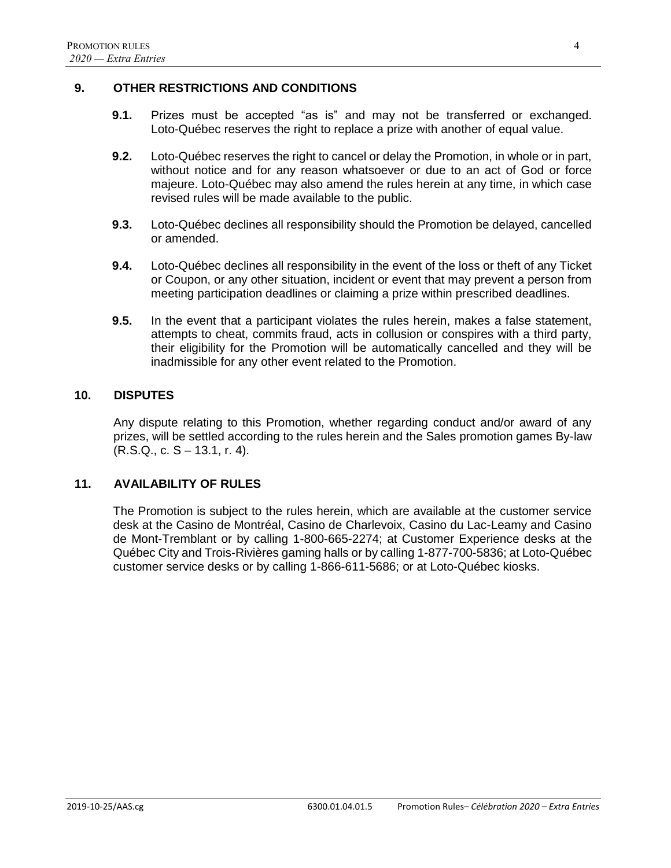## **9. OTHER RESTRICTIONS AND CONDITIONS**

- **9.1.** Prizes must be accepted "as is" and may not be transferred or exchanged. Loto-Québec reserves the right to replace a prize with another of equal value.
- **9.2.** Loto-Québec reserves the right to cancel or delay the Promotion, in whole or in part, without notice and for any reason whatsoever or due to an act of God or force majeure. Loto-Québec may also amend the rules herein at any time, in which case revised rules will be made available to the public.
- **9.3.** Loto-Québec declines all responsibility should the Promotion be delayed, cancelled or amended.
- **9.4.** Loto-Québec declines all responsibility in the event of the loss or theft of any Ticket or Coupon, or any other situation, incident or event that may prevent a person from meeting participation deadlines or claiming a prize within prescribed deadlines.
- **9.5.** In the event that a participant violates the rules herein, makes a false statement, attempts to cheat, commits fraud, acts in collusion or conspires with a third party, their eligibility for the Promotion will be automatically cancelled and they will be inadmissible for any other event related to the Promotion.

#### **10. DISPUTES**

Any dispute relating to this Promotion, whether regarding conduct and/or award of any prizes, will be settled according to the rules herein and the Sales promotion games By-law (R.S.Q., c. S – 13.1, r. 4).

### **11. AVAILABILITY OF RULES**

The Promotion is subject to the rules herein, which are available at the customer service desk at the Casino de Montréal, Casino de Charlevoix, Casino du Lac-Leamy and Casino de Mont-Tremblant or by calling 1-800-665-2274; at Customer Experience desks at the Québec City and Trois-Rivières gaming halls or by calling 1-877-700-5836; at Loto-Québec customer service desks or by calling 1-866-611-5686; or at Loto-Québec kiosks.